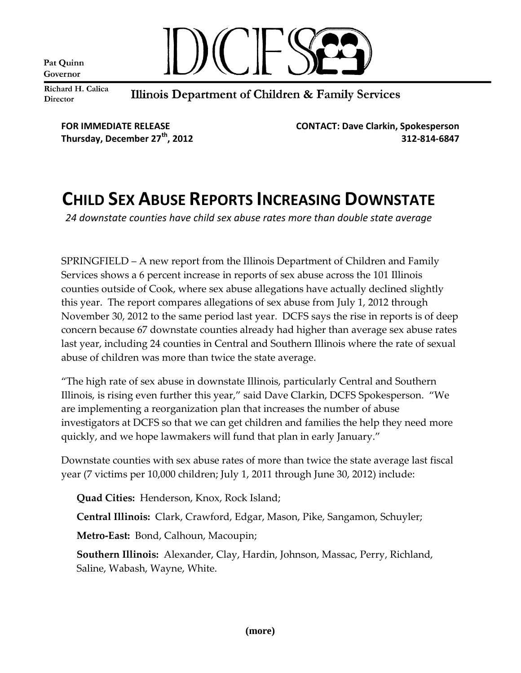Pat Quinn Governor



Richard H. Calica **Director** 

Illinois Department of Children & Family Services

**FOR IMMEDIATE RELEASE CONTACT: Dave Clarkin, Spokesperson Thursday, December 27th, 2012 312-814-6847**

## **CHILD SEX ABUSE REPORTS INCREASING DOWNSTATE**

*24 downstate counties have child sex abuse rates more than double state average*

SPRINGFIELD – A new report from the Illinois Department of Children and Family Services shows a 6 percent increase in reports of sex abuse across the 101 Illinois counties outside of Cook, where sex abuse allegations have actually declined slightly this year. The report compares allegations of sex abuse from July 1, 2012 through November 30, 2012 to the same period last year. DCFS says the rise in reports is of deep concern because 67 downstate counties already had higher than average sex abuse rates last year, including 24 counties in Central and Southern Illinois where the rate of sexual abuse of children was more than twice the state average.

"The high rate of sex abuse in downstate Illinois, particularly Central and Southern Illinois, is rising even further this year," said Dave Clarkin, DCFS Spokesperson. "We are implementing a reorganization plan that increases the number of abuse investigators at DCFS so that we can get children and families the help they need more quickly, and we hope lawmakers will fund that plan in early January."

Downstate counties with sex abuse rates of more than twice the state average last fiscal year (7 victims per 10,000 children; July 1, 2011 through June 30, 2012) include:

**Quad Cities:** Henderson, Knox, Rock Island;

**Central Illinois:** Clark, Crawford, Edgar, Mason, Pike, Sangamon, Schuyler;

**Metro-East:** Bond, Calhoun, Macoupin;

**Southern Illinois:** Alexander, Clay, Hardin, Johnson, Massac, Perry, Richland, Saline, Wabash, Wayne, White.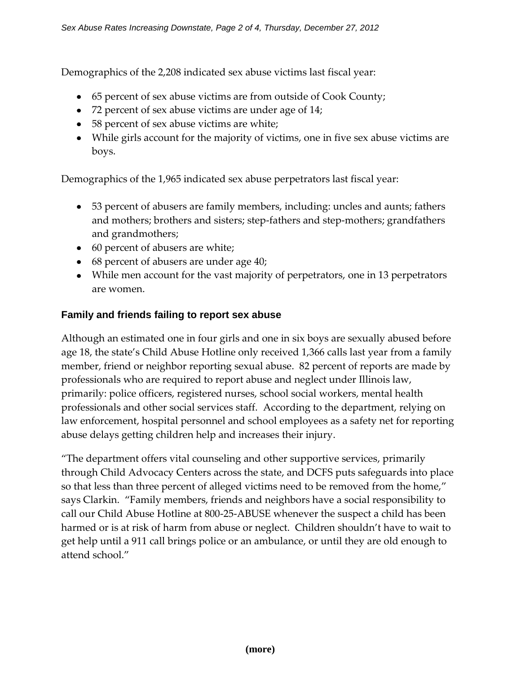Demographics of the 2,208 indicated sex abuse victims last fiscal year:

- 65 percent of sex abuse victims are from outside of Cook County;
- 72 percent of sex abuse victims are under age of 14;
- 58 percent of sex abuse victims are white;
- While girls account for the majority of victims, one in five sex abuse victims are boys.

Demographics of the 1,965 indicated sex abuse perpetrators last fiscal year:

- 53 percent of abusers are family members, including: uncles and aunts; fathers and mothers; brothers and sisters; step-fathers and step-mothers; grandfathers and grandmothers;
- 60 percent of abusers are white;
- 68 percent of abusers are under age 40;
- While men account for the vast majority of perpetrators, one in 13 perpetrators are women.

## **Family and friends failing to report sex abuse**

Although an estimated one in four girls and one in six boys are sexually abused before age 18, the state's Child Abuse Hotline only received 1,366 calls last year from a family member, friend or neighbor reporting sexual abuse. 82 percent of reports are made by professionals who are required to report abuse and neglect under Illinois law, primarily: police officers, registered nurses, school social workers, mental health professionals and other social services staff. According to the department, relying on law enforcement, hospital personnel and school employees as a safety net for reporting abuse delays getting children help and increases their injury.

"The department offers vital counseling and other supportive services, primarily through Child Advocacy Centers across the state, and DCFS puts safeguards into place so that less than three percent of alleged victims need to be removed from the home," says Clarkin. "Family members, friends and neighbors have a social responsibility to call our Child Abuse Hotline at 800-25-ABUSE whenever the suspect a child has been harmed or is at risk of harm from abuse or neglect. Children shouldn't have to wait to get help until a 911 call brings police or an ambulance, or until they are old enough to attend school."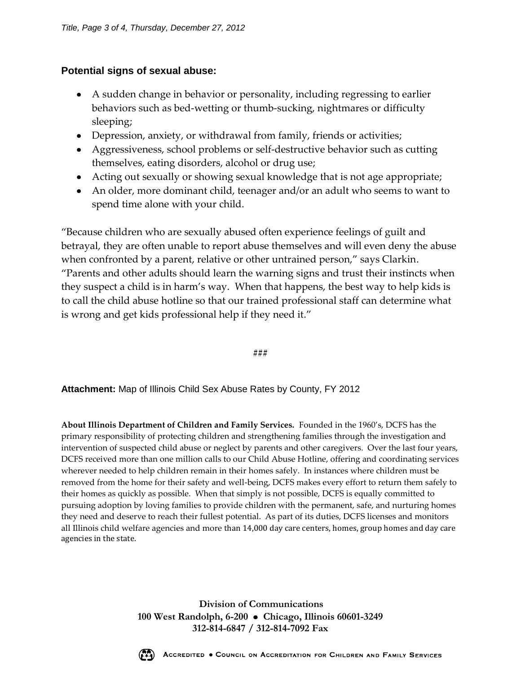## **Potential signs of sexual abuse:**

- A sudden change in behavior or personality, including regressing to earlier behaviors such as bed-wetting or thumb-sucking, nightmares or difficulty sleeping;
- Depression, anxiety, or withdrawal from family, friends or activities;
- Aggressiveness, school problems or self-destructive behavior such as cutting themselves, eating disorders, alcohol or drug use;
- Acting out sexually or showing sexual knowledge that is not age appropriate;
- An older, more dominant child, teenager and/or an adult who seems to want to spend time alone with your child.

"Because children who are sexually abused often experience feelings of guilt and betrayal, they are often unable to report abuse themselves and will even deny the abuse when confronted by a parent, relative or other untrained person," says Clarkin. "Parents and other adults should learn the warning signs and trust their instincts when they suspect a child is in harm's way. When that happens, the best way to help kids is to call the child abuse hotline so that our trained professional staff can determine what is wrong and get kids professional help if they need it."

**###**

**Attachment:** Map of Illinois Child Sex Abuse Rates by County, FY 2012

**About Illinois Department of Children and Family Services.** Founded in the 1960's, DCFS has the primary responsibility of protecting children and strengthening families through the investigation and intervention of suspected child abuse or neglect by parents and other caregivers. Over the last four years, DCFS received more than one million calls to our Child Abuse Hotline, offering and coordinating services wherever needed to help children remain in their homes safely. In instances where children must be removed from the home for their safety and well-being, DCFS makes every effort to return them safely to their homes as quickly as possible. When that simply is not possible, DCFS is equally committed to pursuing adoption by loving families to provide children with the permanent, safe, and nurturing homes they need and deserve to reach their fullest potential. As part of its duties, DCFS licenses and monitors all Illinois child welfare agencies and more than 14,000 day care centers, homes, group homes and day care agencies in the state.

> **Division of Communications 100 West Randolph, 6-200 Chicago, Illinois 60601-3249 312-814-6847 / 312-814-7092 Fax**